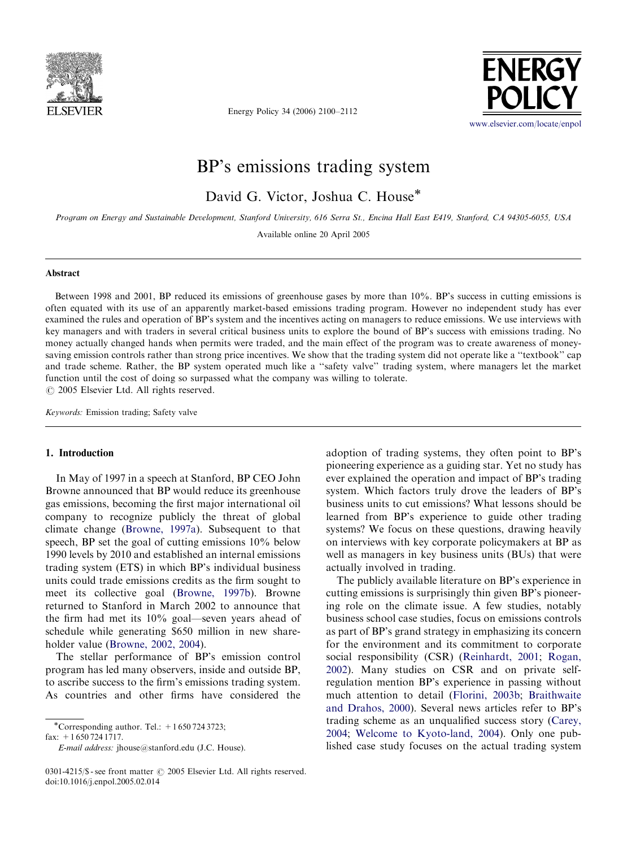

Energy Policy 34 (2006) 2100–2112



# BP's emissions trading system

David G. Victor, Joshua C. House

Program on Energy and Sustainable Development, Stanford University, 616 Serra St., Encina Hall East E419, Stanford, CA 94305-6055, USA

Available online 20 April 2005

#### Abstract

Between 1998 and 2001, BP reduced its emissions of greenhouse gases by more than 10%. BP's success in cutting emissions is often equated with its use of an apparently market-based emissions trading program. However no independent study has ever examined the rules and operation of BP's system and the incentives acting on managers to reduce emissions. We use interviews with key managers and with traders in several critical business units to explore the bound of BP's success with emissions trading. No money actually changed hands when permits were traded, and the main effect of the program was to create awareness of moneysaving emission controls rather than strong price incentives. We show that the trading system did not operate like a "textbook" cap and trade scheme. Rather, the BP system operated much like a ''safety valve'' trading system, where managers let the market function until the cost of doing so surpassed what the company was willing to tolerate.  $\odot$  2005 Elsevier Ltd. All rights reserved.

Keywords: Emission trading; Safety valve

### 1. Introduction

In May of 1997 in a speech at Stanford, BP CEO John Browne announced that BP would reduce its greenhouse gas emissions, becoming the first major international oil company to recognize publicly the threat of global climate change [\(Browne, 1997a\)](#page--1-0). Subsequent to that speech, BP set the goal of cutting emissions 10% below 1990 levels by 2010 and established an internal emissions trading system (ETS) in which BP's individual business units could trade emissions credits as the firm sought to meet its collective goal [\(Browne, 1997b\)](#page--1-0). Browne returned to Stanford in March 2002 to announce that the firm had met its 10% goal—seven years ahead of schedule while generating \$650 million in new shareholder value ([Browne, 2002, 2004\)](#page--1-0).

The stellar performance of BP's emission control program has led many observers, inside and outside BP, to ascribe success to the firm's emissions trading system. As countries and other firms have considered the adoption of trading systems, they often point to BP's pioneering experience as a guiding star. Yet no study has ever explained the operation and impact of BP's trading system. Which factors truly drove the leaders of BP's business units to cut emissions? What lessons should be learned from BP's experience to guide other trading systems? We focus on these questions, drawing heavily on interviews with key corporate policymakers at BP as well as managers in key business units (BUs) that were actually involved in trading.

The publicly available literature on BP's experience in cutting emissions is surprisingly thin given BP's pioneering role on the climate issue. A few studies, notably business school case studies, focus on emissions controls as part of BP's grand strategy in emphasizing its concern for the environment and its commitment to corporate social responsibility (CSR) [\(Reinhardt, 2001](#page--1-0); [Rogan,](#page--1-0) [2002](#page--1-0)). Many studies on CSR and on private selfregulation mention BP's experience in passing without much attention to detail [\(Florini, 2003b](#page--1-0); [Braithwaite](#page--1-0) [and Drahos, 2000](#page--1-0)). Several news articles refer to BP's trading scheme as an unqualified success story ([Carey,](#page--1-0) [2004](#page--1-0); [Welcome to Kyoto-land, 2004\)](#page--1-0). Only one published case study focuses on the actual trading system

<sup>\*</sup>Corresponding author. Tel.:  $+16507243723$ ;

fax: +1 650 724 1717.

E-mail address: jhouse@stanford.edu (J.C. House).

<sup>0301-4215/\$ -</sup> see front matter  $\odot$  2005 Elsevier Ltd. All rights reserved. doi:10.1016/j.enpol.2005.02.014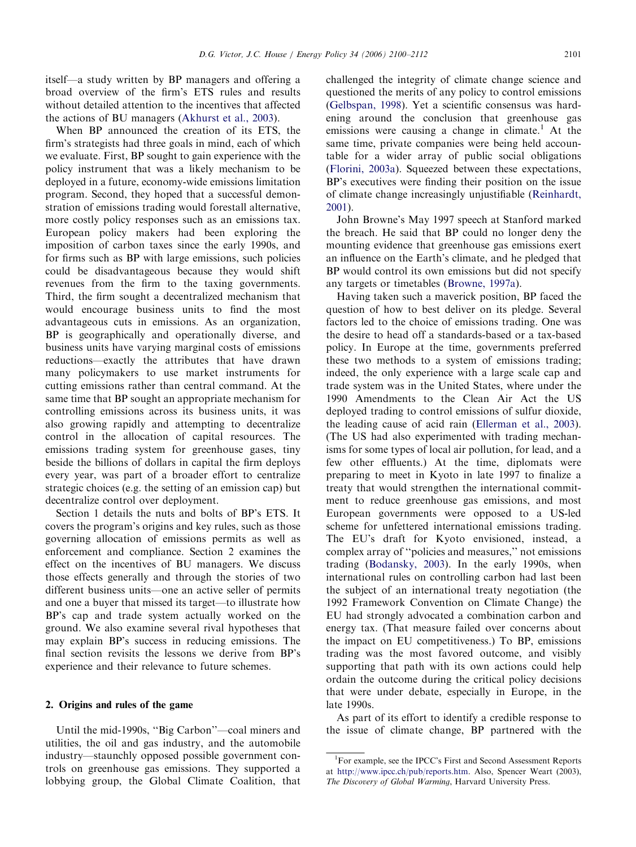itself—a study written by BP managers and offering a broad overview of the firm's ETS rules and results without detailed attention to the incentives that affected the actions of BU managers [\(Akhurst et al., 2003](#page--1-0)).

When BP announced the creation of its ETS, the firm's strategists had three goals in mind, each of which we evaluate. First, BP sought to gain experience with the policy instrument that was a likely mechanism to be deployed in a future, economy-wide emissions limitation program. Second, they hoped that a successful demonstration of emissions trading would forestall alternative, more costly policy responses such as an emissions tax. European policy makers had been exploring the imposition of carbon taxes since the early 1990s, and for firms such as BP with large emissions, such policies could be disadvantageous because they would shift revenues from the firm to the taxing governments. Third, the firm sought a decentralized mechanism that would encourage business units to find the most advantageous cuts in emissions. As an organization, BP is geographically and operationally diverse, and business units have varying marginal costs of emissions reductions—exactly the attributes that have drawn many policymakers to use market instruments for cutting emissions rather than central command. At the same time that BP sought an appropriate mechanism for controlling emissions across its business units, it was also growing rapidly and attempting to decentralize control in the allocation of capital resources. The emissions trading system for greenhouse gases, tiny beside the billions of dollars in capital the firm deploys every year, was part of a broader effort to centralize strategic choices (e.g. the setting of an emission cap) but decentralize control over deployment.

Section 1 details the nuts and bolts of BP's ETS. It covers the program's origins and key rules, such as those governing allocation of emissions permits as well as enforcement and compliance. Section 2 examines the effect on the incentives of BU managers. We discuss those effects generally and through the stories of two different business units—one an active seller of permits and one a buyer that missed its target—to illustrate how BP's cap and trade system actually worked on the ground. We also examine several rival hypotheses that may explain BP's success in reducing emissions. The final section revisits the lessons we derive from BP's experience and their relevance to future schemes.

### 2. Origins and rules of the game

Until the mid-1990s, ''Big Carbon''—coal miners and utilities, the oil and gas industry, and the automobile industry—staunchly opposed possible government controls on greenhouse gas emissions. They supported a lobbying group, the Global Climate Coalition, that challenged the integrity of climate change science and questioned the merits of any policy to control emissions ([Gelbspan, 1998](#page--1-0)). Yet a scientific consensus was hardening around the conclusion that greenhouse gas emissions were causing a change in climate.<sup>1</sup> At the same time, private companies were being held accountable for a wider array of public social obligations ([Florini, 2003a](#page--1-0)). Squeezed between these expectations, BP's executives were finding their position on the issue of climate change increasingly unjustifiable [\(Reinhardt,](#page--1-0) [2001](#page--1-0)).

John Browne's May 1997 speech at Stanford marked the breach. He said that BP could no longer deny the mounting evidence that greenhouse gas emissions exert an influence on the Earth's climate, and he pledged that BP would control its own emissions but did not specify any targets or timetables [\(Browne, 1997a](#page--1-0)).

Having taken such a maverick position, BP faced the question of how to best deliver on its pledge. Several factors led to the choice of emissions trading. One was the desire to head off a standards-based or a tax-based policy. In Europe at the time, governments preferred these two methods to a system of emissions trading; indeed, the only experience with a large scale cap and trade system was in the United States, where under the 1990 Amendments to the Clean Air Act the US deployed trading to control emissions of sulfur dioxide, the leading cause of acid rain ([Ellerman et al., 2003\)](#page--1-0). (The US had also experimented with trading mechanisms for some types of local air pollution, for lead, and a few other effluents.) At the time, diplomats were preparing to meet in Kyoto in late 1997 to finalize a treaty that would strengthen the international commitment to reduce greenhouse gas emissions, and most European governments were opposed to a US-led scheme for unfettered international emissions trading. The EU's draft for Kyoto envisioned, instead, a complex array of ''policies and measures,'' not emissions trading ([Bodansky, 2003\)](#page--1-0). In the early 1990s, when international rules on controlling carbon had last been the subject of an international treaty negotiation (the 1992 Framework Convention on Climate Change) the EU had strongly advocated a combination carbon and energy tax. (That measure failed over concerns about the impact on EU competitiveness.) To BP, emissions trading was the most favored outcome, and visibly supporting that path with its own actions could help ordain the outcome during the critical policy decisions that were under debate, especially in Europe, in the late 1990s.

As part of its effort to identify a credible response to the issue of climate change, BP partnered with the

<sup>&</sup>lt;sup>1</sup>For example, see the IPCC's First and Second Assessment Reports at [http://www.ipcc.ch/pub/reports.htm.](http://www.ipcc.ch/pub/reports.htm) Also, Spencer Weart (2003), The Discovery of Global Warming, Harvard University Press.